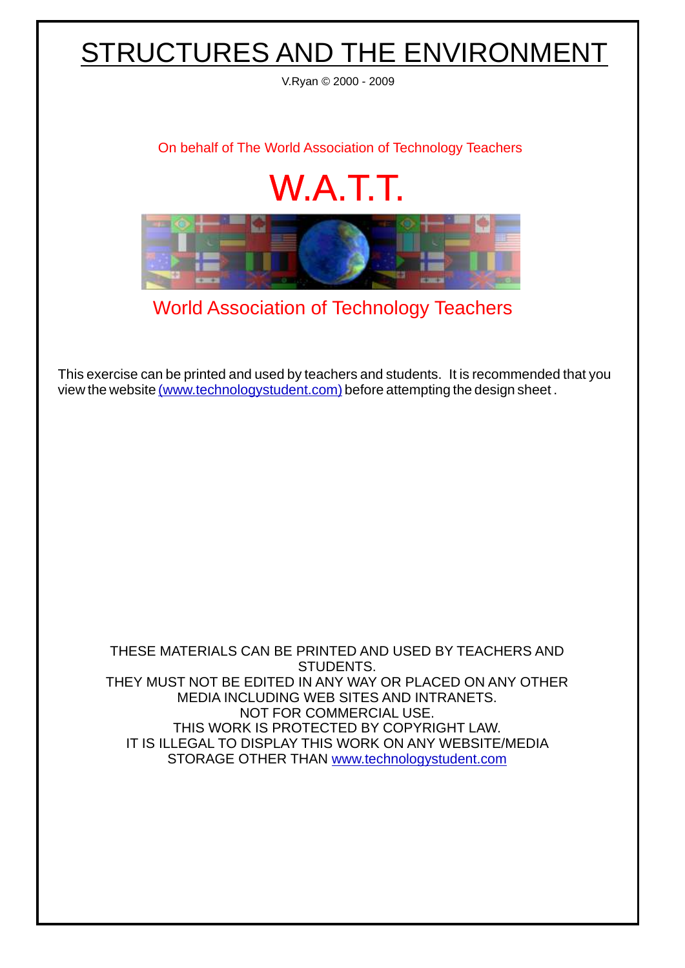## STRUCTURES AND THE ENVIRONMENT

V.Ryan © 2000 - 2009

[On behalf of The World Association of Technology Teachers](http://www.technologystudent.com)

## W.A.T.T.



[World Association of Technology Teachers](http://www.technologystudent.com)

[This exercise can be printed and used by teachers and students. It is recommended that you](http://www.technologystudent.com/designpro/drawdex.htm) view the website [\(www.technologystudent.com\)](http://www.technologystudent.com) before attempting the design sheet .

THESE MATERIALS CAN BE PRINTED AND USED BY TEACHERS AND STUDENTS. THEY MUST NOT BE EDITED IN ANY WAY OR PLACED ON ANY OTHER MEDIA INCLUDING WEB SITES AND INTRANETS. NOT FOR COMMERCIAL USE. THIS WORK IS PROTECTED BY COPYRIGHT LAW. IT IS ILLEGAL TO DISPLAY THIS WORK ON ANY WEBSITE/MEDIA STORAGE OTHER THAN [www.technologystudent.com](http://www.technologystudent.com)